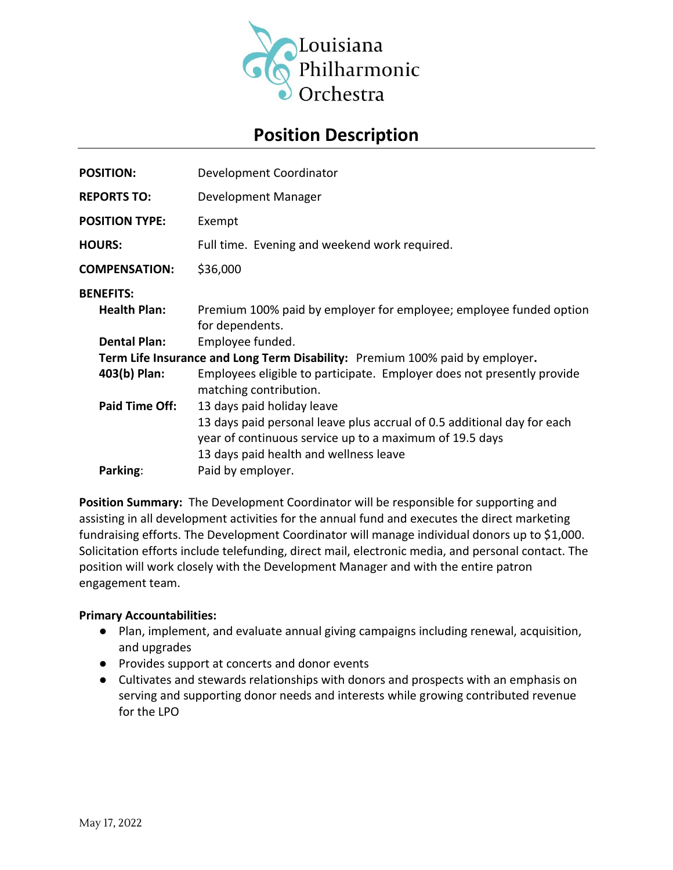

# **Position Description**

| <b>POSITION:</b>                                                             | Development Coordinator                                                                                                                                                      |
|------------------------------------------------------------------------------|------------------------------------------------------------------------------------------------------------------------------------------------------------------------------|
| <b>REPORTS TO:</b>                                                           | Development Manager                                                                                                                                                          |
| <b>POSITION TYPE:</b>                                                        | Exempt                                                                                                                                                                       |
| <b>HOURS:</b>                                                                | Full time. Evening and weekend work required.                                                                                                                                |
| <b>COMPENSATION:</b>                                                         | \$36,000                                                                                                                                                                     |
| <b>BENEFITS:</b><br><b>Health Plan:</b>                                      | Premium 100% paid by employer for employee; employee funded option<br>for dependents.                                                                                        |
| <b>Dental Plan:</b>                                                          | Employee funded.                                                                                                                                                             |
| Term Life Insurance and Long Term Disability: Premium 100% paid by employer. |                                                                                                                                                                              |
| 403(b) Plan:                                                                 | Employees eligible to participate. Employer does not presently provide<br>matching contribution.                                                                             |
| <b>Paid Time Off:</b>                                                        | 13 days paid holiday leave                                                                                                                                                   |
|                                                                              | 13 days paid personal leave plus accrual of 0.5 additional day for each<br>year of continuous service up to a maximum of 19.5 days<br>13 days paid health and wellness leave |
| Parking:                                                                     | Paid by employer.                                                                                                                                                            |
|                                                                              |                                                                                                                                                                              |

**Position Summary:** The Development Coordinator will be responsible for supporting and assisting in all development activities for the annual fund and executes the direct marketing fundraising efforts. The Development Coordinator will manage individual donors up to \$1,000. Solicitation efforts include telefunding, direct mail, electronic media, and personal contact. The position will work closely with the Development Manager and with the entire patron engagement team.

#### **Primary Accountabilities:**

- Plan, implement, and evaluate annual giving campaigns including renewal, acquisition, and upgrades
- Provides support at concerts and donor events
- Cultivates and stewards relationships with donors and prospects with an emphasis on serving and supporting donor needs and interests while growing contributed revenue for the LPO